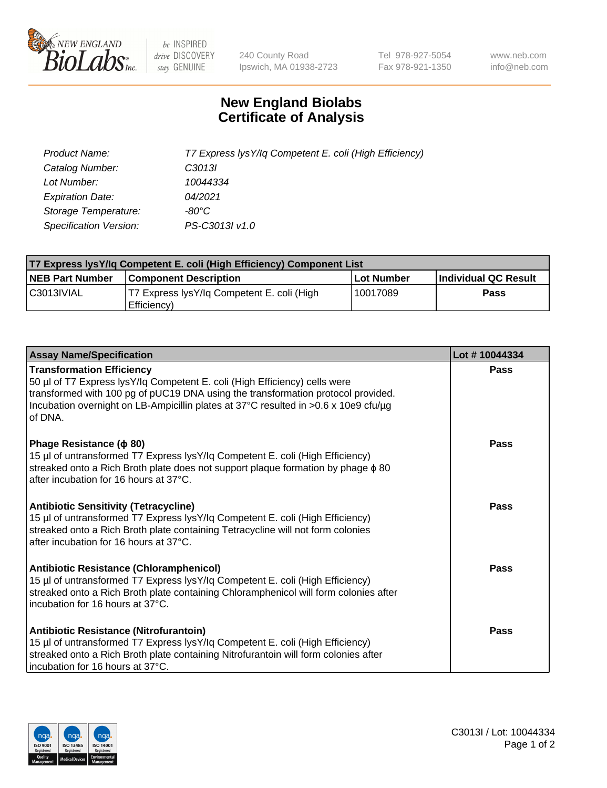

 $be$  INSPIRED drive DISCOVERY stay GENUINE

240 County Road Ipswich, MA 01938-2723 Tel 978-927-5054 Fax 978-921-1350 www.neb.com info@neb.com

## **New England Biolabs Certificate of Analysis**

| Product Name:           | T7 Express lysY/lq Competent E. coli (High Efficiency) |
|-------------------------|--------------------------------------------------------|
| Catalog Number:         | C3013I                                                 |
| Lot Number:             | 10044334                                               |
| <b>Expiration Date:</b> | 04/2021                                                |
| Storage Temperature:    | -80°C                                                  |
| Specification Version:  | PS-C3013I v1.0                                         |

| T7 Express lysY/lq Competent E. coli (High Efficiency) Component List |                                                           |            |                      |  |
|-----------------------------------------------------------------------|-----------------------------------------------------------|------------|----------------------|--|
| <b>NEB Part Number</b>                                                | <b>Component Description</b>                              | Lot Number | Individual QC Result |  |
| C3013IVIAL                                                            | T7 Express lysY/lg Competent E. coli (High<br>Efficiency) | 10017089   | <b>Pass</b>          |  |

| <b>Assay Name/Specification</b>                                                                                                                                                                                                                                                                      | Lot #10044334 |
|------------------------------------------------------------------------------------------------------------------------------------------------------------------------------------------------------------------------------------------------------------------------------------------------------|---------------|
| <b>Transformation Efficiency</b><br>50 µl of T7 Express lysY/lq Competent E. coli (High Efficiency) cells were<br>transformed with 100 pg of pUC19 DNA using the transformation protocol provided.<br>Incubation overnight on LB-Ampicillin plates at 37°C resulted in >0.6 x 10e9 cfu/µg<br>of DNA. | Pass          |
| Phage Resistance ( $\phi$ 80)<br>15 µl of untransformed T7 Express lysY/lq Competent E. coli (High Efficiency)<br>streaked onto a Rich Broth plate does not support plaque formation by phage $\phi$ 80<br>after incubation for 16 hours at 37°C.                                                    | Pass          |
| <b>Antibiotic Sensitivity (Tetracycline)</b><br>15 µl of untransformed T7 Express lysY/lq Competent E. coli (High Efficiency)<br>streaked onto a Rich Broth plate containing Tetracycline will not form colonies<br>after incubation for 16 hours at 37°C.                                           | Pass          |
| Antibiotic Resistance (Chloramphenicol)<br>15 µl of untransformed T7 Express lysY/lq Competent E. coli (High Efficiency)<br>streaked onto a Rich Broth plate containing Chloramphenicol will form colonies after<br>incubation for 16 hours at 37°C.                                                 | Pass          |
| Antibiotic Resistance (Nitrofurantoin)<br>15 µl of untransformed T7 Express lysY/lq Competent E. coli (High Efficiency)<br>streaked onto a Rich Broth plate containing Nitrofurantoin will form colonies after<br>incubation for 16 hours at 37°C.                                                   | Pass          |